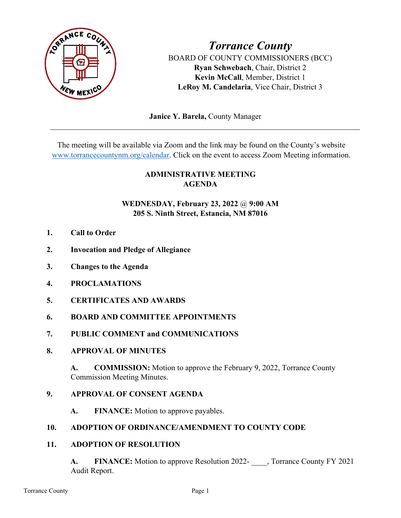

*Torrance County* BOARD OF COUNTY COMMISSIONERS (BCC) **Ryan Schwebach**, Chair, District 2 **Kevin McCall**, Member, District 1 **LeRoy M. Candelaria**, Vice Chair, District 3

 **Janice Y. Barela,** County Manager

The meeting will be available via Zoom and the link may be found on the County's website [www.torrancecountynm.org/calendar.](http://www.torrancecountynm.org/calendar) Click on the event to access Zoom Meeting information.

### **ADMINISTRATIVE MEETING AGENDA**

## **WEDNESDAY, February 23, 2022** @ **9:00 AM 205 S. Ninth Street, Estancia, NM 87016**

- **1. Call to Order**
- **2. Invocation and Pledge of Allegiance**
- **3. Changes to the Agenda**
- **4. PROCLAMATIONS**
- **5. CERTIFICATES AND AWARDS**
- **6. BOARD AND COMMITTEE APPOINTMENTS**
- **7. PUBLIC COMMENT and COMMUNICATIONS**
- **8. APPROVAL OF MINUTES**

**A. COMMISSION:** Motion to approve the February 9, 2022, Torrance County Commission Meeting Minutes.

### **9. APPROVAL OF CONSENT AGENDA**

**A. FINANCE:** Motion to approve payables.

### **10. ADOPTION OF ORDINANCE/AMENDMENT TO COUNTY CODE**

### **11. ADOPTION OF RESOLUTION**

**A. FINANCE:** Motion to approve Resolution 2022- \_\_\_\_, Torrance County FY 2021 Audit Report.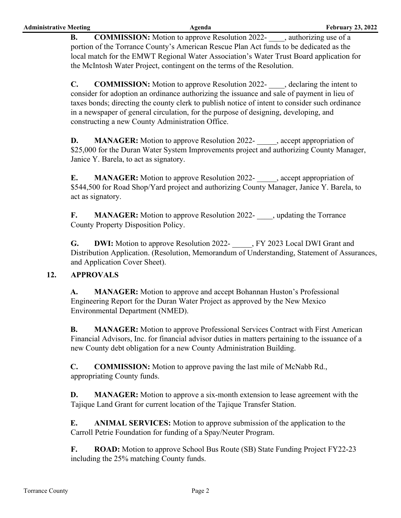**B. COMMISSION:** Motion to approve Resolution 2022- , authorizing use of a portion of the Torrance County's American Rescue Plan Act funds to be dedicated as the local match for the EMWT Regional Water Association's Water Trust Board application for the McIntosh Water Project, contingent on the terms of the Resolution.

**C. COMMISSION:** Motion to approve Resolution 2022- declaring the intent to consider for adoption an ordinance authorizing the issuance and sale of payment in lieu of taxes bonds; directing the county clerk to publish notice of intent to consider such ordinance in a newspaper of general circulation, for the purpose of designing, developing, and constructing a new County Administration Office.

**D. MANAGER:** Motion to approve Resolution 2022- \_\_\_\_\_, accept appropriation of \$25,000 for the Duran Water System Improvements project and authorizing County Manager, Janice Y. Barela, to act as signatory.

**E. MANAGER:** Motion to approve Resolution 2022- , accept appropriation of \$544,500 for Road Shop/Yard project and authorizing County Manager, Janice Y. Barela, to act as signatory.

**F. MANAGER:** Motion to approve Resolution 2022- , updating the Torrance County Property Disposition Policy.

**G. DWI:** Motion to approve Resolution 2022- \_\_\_\_\_, FY 2023 Local DWI Grant and Distribution Application. (Resolution, Memorandum of Understanding, Statement of Assurances, and Application Cover Sheet).

# **12. APPROVALS**

**A. MANAGER:** Motion to approve and accept Bohannan Huston's Professional Engineering Report for the Duran Water Project as approved by the New Mexico Environmental Department (NMED).

**B. MANAGER:** Motion to approve Professional Services Contract with First American Financial Advisors, Inc. for financial advisor duties in matters pertaining to the issuance of a new County debt obligation for a new County Administration Building.

**C. COMMISSION:** Motion to approve paving the last mile of McNabb Rd., appropriating County funds.

**D. MANAGER:** Motion to approve a six-month extension to lease agreement with the Tajique Land Grant for current location of the Tajique Transfer Station.

**E. ANIMAL SERVICES:** Motion to approve submission of the application to the Carroll Petrie Foundation for funding of a Spay/Neuter Program.

**F. ROAD:** Motion to approve School Bus Route (SB) State Funding Project FY22-23 including the 25% matching County funds.